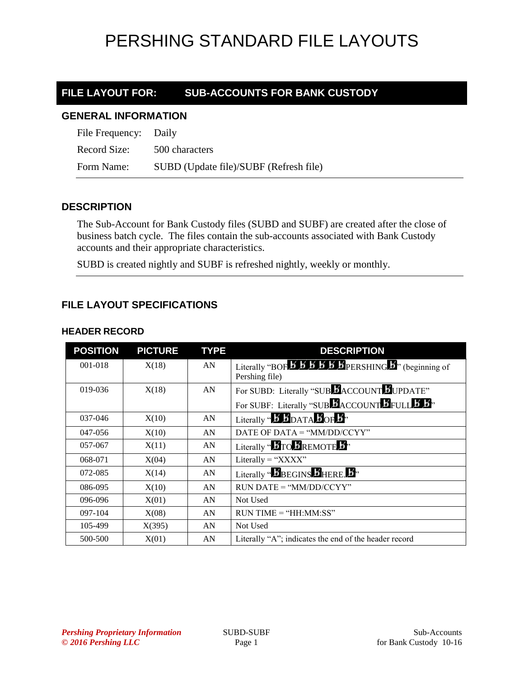### **FILE LAYOUT FOR: SUB-ACCOUNTS FOR BANK CUSTODY**

#### **GENERAL INFORMATION**

| File Frequency: Daily |                                        |
|-----------------------|----------------------------------------|
| Record Size:          | 500 characters                         |
| Form Name:            | SUBD (Update file)/SUBF (Refresh file) |

### **DESCRIPTION**

The Sub-Account for Bank Custody files (SUBD and SUBF) are created after the close of business batch cycle. The files contain the sub-accounts associated with Bank Custody accounts and their appropriate characteristics.

SUBD is created nightly and SUBF is refreshed nightly, weekly or monthly.

### **FILE LAYOUT SPECIFICATIONS**

#### **HEADER RECORD**

| <b>POSITION</b> | <b>PICTURE</b> | <b>TYPE</b> | <b>DESCRIPTION</b>                                                                                                                |
|-----------------|----------------|-------------|-----------------------------------------------------------------------------------------------------------------------------------|
| $001 - 018$     | X(18)          | AN          | Literally "BOF $\overline{B}$ $\overline{B}$ $\overline{B}$ $\overline{B}$ $\overline{B}$ PERSHING $\overline{B}$ " (beginning of |
|                 |                |             | Pershing file)                                                                                                                    |
| 019-036         | X(18)          | AN          | For SUBD: Literally "SUBLACCOUNT LUPDATE"                                                                                         |
|                 |                |             | For SUBF: Literally "SUBBACCOUNT BFULL B B"                                                                                       |
| 037-046         | X(10)          | AN          | Literally " $\bm{B}$ $\bm{B}_{\text{DATA}}$ $\bm{B}_{\text{OF}}$ $\bm{B}$ "                                                       |
| 047-056         | X(10)          | AN          | DATE OF DATA = "MM/DD/CCYY"                                                                                                       |
| 057-067         | X(11)          | AN          | Literally " <b>BTO BREMOTE B</b> "                                                                                                |
| 068-071         | X(04)          | AN          | Literally = " $XXX'$ "                                                                                                            |
| 072-085         | X(14)          | AN          | Literally "BBEGINS BHERE. B"                                                                                                      |
| 086-095         | X(10)          | AN          | $RUN\ DATE = "MM/DD/CCYY"$                                                                                                        |
| 096-096         | X(01)          | AN          | Not Used                                                                                                                          |
| 097-104         | X(08)          | AN          | $RUN TIME = "HH:MM:SS"$                                                                                                           |
| 105-499         | X(395)         | AN          | Not Used                                                                                                                          |
| 500-500         | X(01)          | AN          | Literally "A"; indicates the end of the header record                                                                             |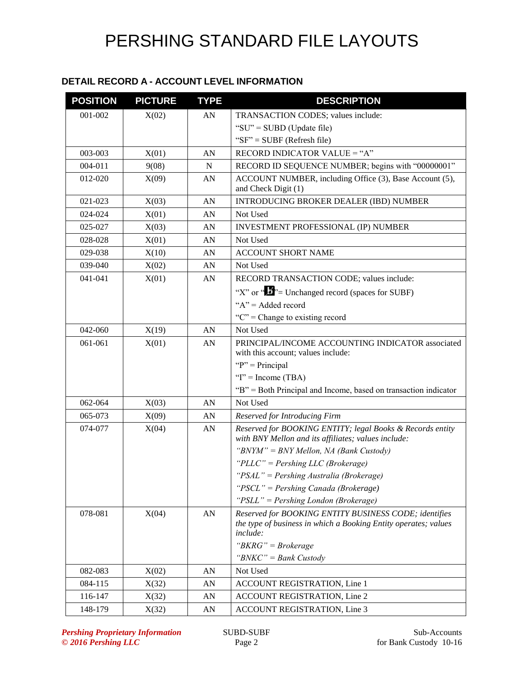### **DETAIL RECORD A - ACCOUNT LEVEL INFORMATION**

| <b>POSITION</b> | <b>PICTURE</b> | <b>TYPE</b> | <b>DESCRIPTION</b>                                                                                               |
|-----------------|----------------|-------------|------------------------------------------------------------------------------------------------------------------|
| 001-002         | X(02)          | AN          | TRANSACTION CODES; values include:                                                                               |
|                 |                |             | "SU" = SUBD (Update file)                                                                                        |
|                 |                |             | " $SF$ " = SUBF (Refresh file)                                                                                   |
| 003-003         | X(01)          | AN          | RECORD INDICATOR VALUE = "A"                                                                                     |
| 004-011         | 9(08)          | $\mathbf N$ | RECORD ID SEQUENCE NUMBER; begins with "00000001"                                                                |
| 012-020         | X(09)          | AN          | ACCOUNT NUMBER, including Office (3), Base Account (5),<br>and Check Digit (1)                                   |
| 021-023         | X(03)          | AN          | <b>INTRODUCING BROKER DEALER (IBD) NUMBER</b>                                                                    |
| 024-024         | X(01)          | AN          | Not Used                                                                                                         |
| 025-027         | X(03)          | AN          | INVESTMENT PROFESSIONAL (IP) NUMBER                                                                              |
| 028-028         | X(01)          | AN          | Not Used                                                                                                         |
| 029-038         | X(10)          | AN          | <b>ACCOUNT SHORT NAME</b>                                                                                        |
| 039-040         | X(02)          | AN          | Not Used                                                                                                         |
| 041-041         | X(01)          | AN          | RECORD TRANSACTION CODE; values include:                                                                         |
|                 |                |             | "X" or " $\bullet$ " = Unchanged record (spaces for SUBF)                                                        |
|                 |                |             | " $A$ " = Added record                                                                                           |
|                 |                |             | " $C$ " = Change to existing record                                                                              |
| 042-060         | X(19)          | AN          | Not Used                                                                                                         |
| 061-061         | X(01)          | AN          | PRINCIPAL/INCOME ACCOUNTING INDICATOR associated<br>with this account; values include:                           |
|                 |                |             | " $P$ " = Principal                                                                                              |
|                 |                |             | "I" = Income (TBA)                                                                                               |
|                 |                |             | "B" = Both Principal and Income, based on transaction indicator                                                  |
| 062-064         | X(03)          | AN          | Not Used                                                                                                         |
| 065-073         | X(09)          | AN          | Reserved for Introducing Firm                                                                                    |
| 074-077         | X(04)          | AN          | Reserved for BOOKING ENTITY; legal Books & Records entity<br>with BNY Mellon and its affiliates; values include: |
|                 |                |             | "BNYM" = BNY Mellon, NA (Bank Custody)                                                                           |
|                 |                |             | " $PLLC" = Pershing LLC (Brokerage)$                                                                             |
|                 |                |             | "PSAL" = Pershing Australia (Brokerage)                                                                          |
|                 |                |             | "PSCL" = Pershing Canada (Brokerage)                                                                             |
|                 |                |             | "PSLL" = Pershing London (Brokerage)                                                                             |
| 078-081         | X(04)          | AN          | Reserved for BOOKING ENTITY BUSINESS CODE; identifies                                                            |
|                 |                |             | the type of business in which a Booking Entity operates; values<br>include:                                      |
|                 |                |             | " $BKRG" = Brokerage$                                                                                            |
|                 |                |             | " $BNKC$ " = Bank Custody                                                                                        |
| 082-083         | X(02)          | AN          | Not Used                                                                                                         |
| 084-115         | X(32)          | AN          | <b>ACCOUNT REGISTRATION, Line 1</b>                                                                              |
| 116-147         | X(32)          | AN          | ACCOUNT REGISTRATION, Line 2                                                                                     |
| 148-179         | X(32)          | AN          | ACCOUNT REGISTRATION, Line 3                                                                                     |

**Pershing Proprietary Information** SUBD-SUBF Sub-Accounts Sub-Accounts  $\begin{array}{c} \text{Sub-Accounts} \\ \text{0.2016 } \text{Pershing } LLC \end{array}$  Sub-Accounts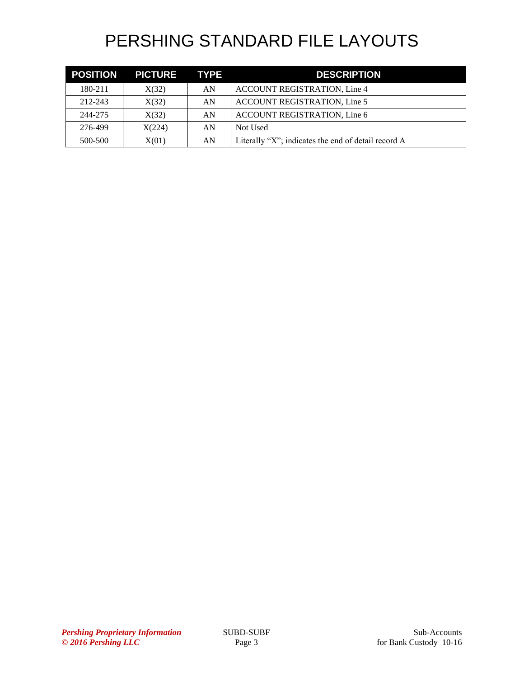| <b>POSITION</b> | PICTURE TYPE |    | <b>DESCRIPTION</b>                                  |
|-----------------|--------------|----|-----------------------------------------------------|
| 180-211         | X(32)        | AN | ACCOUNT REGISTRATION, Line 4                        |
| 212-243         | X(32)        | AN | <b>ACCOUNT REGISTRATION, Line 5</b>                 |
| 244-275         | X(32)        | AN | ACCOUNT REGISTRATION, Line 6                        |
| 276-499         | X(224)       | AN | Not Used                                            |
| 500-500         | X(01)        | AN | Literally "X"; indicates the end of detail record A |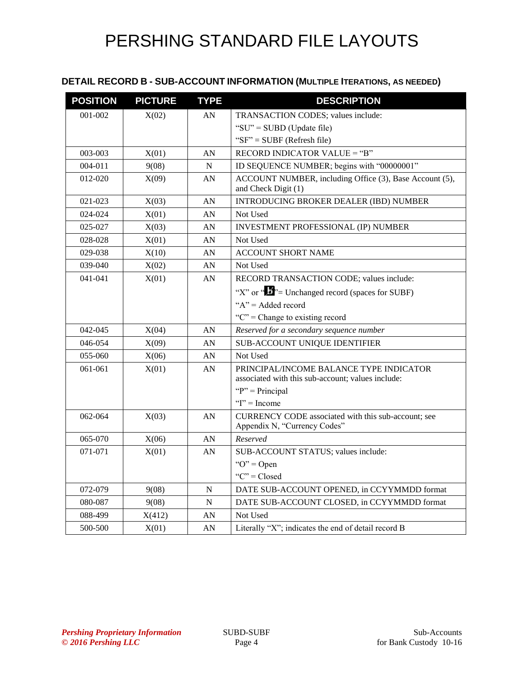### **DETAIL RECORD B - SUB-ACCOUNT INFORMATION (MULTIPLE ITERATIONS, AS NEEDED)**

| <b>POSITION</b> | <b>PICTURE</b> | <b>TYPE</b> | <b>DESCRIPTION</b>                                                                                                   |
|-----------------|----------------|-------------|----------------------------------------------------------------------------------------------------------------------|
| 001-002         | X(02)          | AN          | TRANSACTION CODES; values include:                                                                                   |
|                 |                |             | "SU" = SUBD (Update file)                                                                                            |
|                 |                |             | " $SF$ " = SUBF (Refresh file)                                                                                       |
| 003-003         | X(01)          | AN          | RECORD INDICATOR VALUE = "B"                                                                                         |
| 004-011         | 9(08)          | N           | ID SEQUENCE NUMBER; begins with "00000001"                                                                           |
| 012-020         | X(09)          | AN          | ACCOUNT NUMBER, including Office (3), Base Account (5),<br>and Check Digit (1)                                       |
| 021-023         | X(03)          | AN          | <b>INTRODUCING BROKER DEALER (IBD) NUMBER</b>                                                                        |
| 024-024         | X(01)          | AN          | Not Used                                                                                                             |
| 025-027         | X(03)          | AN          | INVESTMENT PROFESSIONAL (IP) NUMBER                                                                                  |
| 028-028         | X(01)          | AN          | Not Used                                                                                                             |
| 029-038         | X(10)          | AN          | <b>ACCOUNT SHORT NAME</b>                                                                                            |
| 039-040         | X(02)          | AN          | Not Used                                                                                                             |
| $041 - 041$     | X(01)          | AN          | RECORD TRANSACTION CODE; values include:                                                                             |
|                 |                |             | "X" or " $\mathbf{L}$ "= Unchanged record (spaces for SUBF)                                                          |
|                 |                |             | " $A$ " = Added record                                                                                               |
|                 |                |             | " $C$ " = Change to existing record                                                                                  |
| 042-045         | X(04)          | AN          | Reserved for a secondary sequence number                                                                             |
| 046-054         | X(09)          | AN          | <b>SUB-ACCOUNT UNIQUE IDENTIFIER</b>                                                                                 |
| $055 - 060$     | X(06)          | AN          | Not Used                                                                                                             |
| 061-061         | X(01)          | AN          | PRINCIPAL/INCOME BALANCE TYPE INDICATOR<br>associated with this sub-account; values include:<br>" $P$ " = Principal" |
|                 |                |             | " $I$ " = Income                                                                                                     |
| 062-064         | X(03)          | AN          | CURRENCY CODE associated with this sub-account; see<br>Appendix N, "Currency Codes"                                  |
| 065-070         | X(06)          | AN          | Reserved                                                                                                             |
| 071-071         | X(01)          | AN          | SUB-ACCOUNT STATUS; values include:                                                                                  |
|                 |                |             | " $O$ " = Open                                                                                                       |
|                 |                |             | "C" = $Closed$                                                                                                       |
| 072-079         | 9(08)          | N           | DATE SUB-ACCOUNT OPENED, in CCYYMMDD format                                                                          |
| 080-087         | 9(08)          | N           | DATE SUB-ACCOUNT CLOSED, in CCYYMMDD format                                                                          |
| 088-499         | X(412)         | AN          | Not Used                                                                                                             |
| 500-500         | X(01)          | AN          | Literally "X"; indicates the end of detail record B                                                                  |